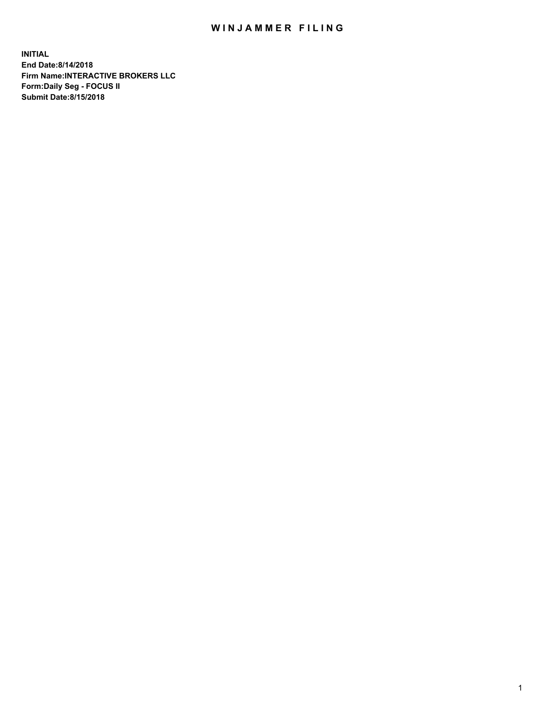## WIN JAMMER FILING

**INITIAL End Date:8/14/2018 Firm Name:INTERACTIVE BROKERS LLC Form:Daily Seg - FOCUS II Submit Date:8/15/2018**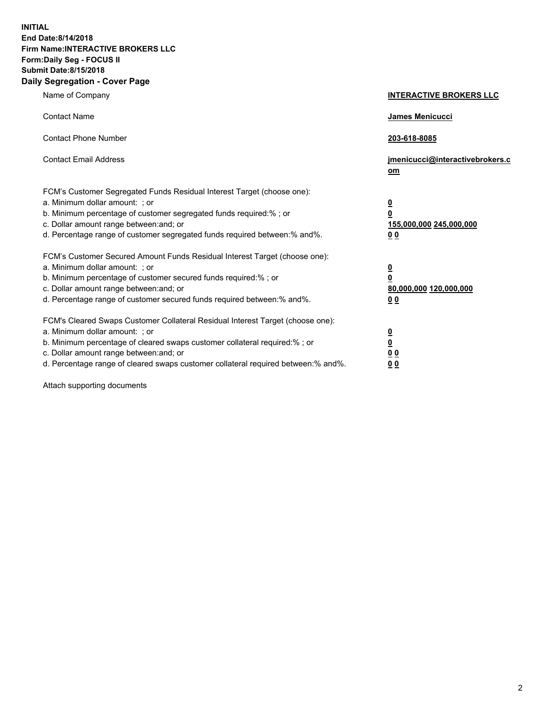**INITIAL End Date:8/14/2018 Firm Name:INTERACTIVE BROKERS LLC Form:Daily Seg - FOCUS II Submit Date:8/15/2018 Daily Segregation - Cover Page**

| Name of Company                                                                                                                                                                                                                                                                                                                | <b>INTERACTIVE BROKERS LLC</b>                                                                  |
|--------------------------------------------------------------------------------------------------------------------------------------------------------------------------------------------------------------------------------------------------------------------------------------------------------------------------------|-------------------------------------------------------------------------------------------------|
| <b>Contact Name</b>                                                                                                                                                                                                                                                                                                            | James Menicucci                                                                                 |
| <b>Contact Phone Number</b>                                                                                                                                                                                                                                                                                                    | 203-618-8085                                                                                    |
| <b>Contact Email Address</b>                                                                                                                                                                                                                                                                                                   | jmenicucci@interactivebrokers.c<br>om                                                           |
| FCM's Customer Segregated Funds Residual Interest Target (choose one):<br>a. Minimum dollar amount: ; or<br>b. Minimum percentage of customer segregated funds required:% ; or<br>c. Dollar amount range between: and; or<br>d. Percentage range of customer segregated funds required between:% and%.                         | $\overline{\mathbf{0}}$<br>$\overline{\mathbf{0}}$<br>155,000,000 245,000,000<br>0 <sub>0</sub> |
| FCM's Customer Secured Amount Funds Residual Interest Target (choose one):<br>a. Minimum dollar amount: ; or<br>b. Minimum percentage of customer secured funds required:% ; or<br>c. Dollar amount range between: and; or<br>d. Percentage range of customer secured funds required between:% and%.                           | $\overline{\mathbf{0}}$<br>0<br>80,000,000 120,000,000<br>0 <sub>0</sub>                        |
| FCM's Cleared Swaps Customer Collateral Residual Interest Target (choose one):<br>a. Minimum dollar amount: ; or<br>b. Minimum percentage of cleared swaps customer collateral required:% ; or<br>c. Dollar amount range between: and; or<br>d. Percentage range of cleared swaps customer collateral required between:% and%. | $\overline{\mathbf{0}}$<br><u>0</u><br>$\underline{0}$ $\underline{0}$<br>00                    |

Attach supporting documents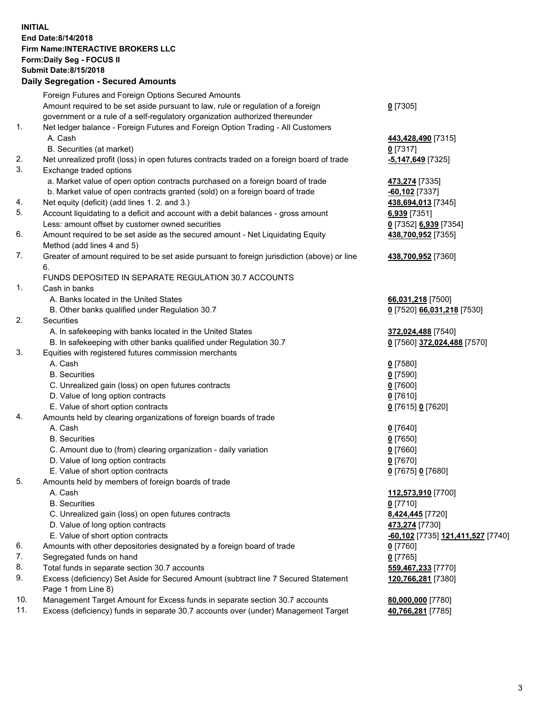## **INITIAL End Date:8/14/2018 Firm Name:INTERACTIVE BROKERS LLC Form:Daily Seg - FOCUS II Submit Date:8/15/2018 Daily Segregation - Secured Amounts**

|                | Daily Segregation - Secured Amounts                                                         |                                  |
|----------------|---------------------------------------------------------------------------------------------|----------------------------------|
|                | Foreign Futures and Foreign Options Secured Amounts                                         |                                  |
|                | Amount required to be set aside pursuant to law, rule or regulation of a foreign            | $0$ [7305]                       |
|                | government or a rule of a self-regulatory organization authorized thereunder                |                                  |
| $\mathbf{1}$ . | Net ledger balance - Foreign Futures and Foreign Option Trading - All Customers             |                                  |
|                | A. Cash                                                                                     | 443,428,490 [7315]               |
|                | B. Securities (at market)                                                                   | $0$ [7317]                       |
| 2.             | Net unrealized profit (loss) in open futures contracts traded on a foreign board of trade   | -5,147,649 [7325]                |
| 3.             | Exchange traded options                                                                     |                                  |
|                | a. Market value of open option contracts purchased on a foreign board of trade              | 473,274 [7335]                   |
|                | b. Market value of open contracts granted (sold) on a foreign board of trade                | $-60,102$ [7337]                 |
| 4.             | Net equity (deficit) (add lines 1. 2. and 3.)                                               | 438,694,013 [7345]               |
| 5.             | Account liquidating to a deficit and account with a debit balances - gross amount           | 6,939 [7351]                     |
|                | Less: amount offset by customer owned securities                                            | 0 [7352] 6,939 [7354]            |
| 6.             | Amount required to be set aside as the secured amount - Net Liquidating Equity              | 438,700,952 [7355]               |
|                | Method (add lines 4 and 5)                                                                  |                                  |
| 7.             | Greater of amount required to be set aside pursuant to foreign jurisdiction (above) or line | 438,700,952 [7360]               |
|                | 6.<br>FUNDS DEPOSITED IN SEPARATE REGULATION 30.7 ACCOUNTS                                  |                                  |
| 1.             | Cash in banks                                                                               |                                  |
|                |                                                                                             |                                  |
|                | A. Banks located in the United States                                                       | 66,031,218 [7500]                |
| 2.             | B. Other banks qualified under Regulation 30.7<br><b>Securities</b>                         | 0 [7520] 66,031,218 [7530]       |
|                | A. In safekeeping with banks located in the United States                                   | 372,024,488 [7540]               |
|                | B. In safekeeping with other banks qualified under Regulation 30.7                          | 0 [7560] 372,024,488 [7570]      |
| 3.             | Equities with registered futures commission merchants                                       |                                  |
|                | A. Cash                                                                                     | $0$ [7580]                       |
|                | <b>B.</b> Securities                                                                        | $0$ [7590]                       |
|                | C. Unrealized gain (loss) on open futures contracts                                         | $0$ [7600]                       |
|                | D. Value of long option contracts                                                           | $0$ [7610]                       |
|                | E. Value of short option contracts                                                          | 0 [7615] 0 [7620]                |
| 4.             | Amounts held by clearing organizations of foreign boards of trade                           |                                  |
|                | A. Cash                                                                                     | $0$ [7640]                       |
|                | <b>B.</b> Securities                                                                        | $0$ [7650]                       |
|                | C. Amount due to (from) clearing organization - daily variation                             | $0$ [7660]                       |
|                | D. Value of long option contracts                                                           | $0$ [7670]                       |
|                | E. Value of short option contracts                                                          | 0 [7675] 0 [7680]                |
| 5.             | Amounts held by members of foreign boards of trade                                          |                                  |
|                | A. Cash                                                                                     | 112,573,910 [7700]               |
|                | <b>B.</b> Securities                                                                        | $0$ [7710]                       |
|                | C. Unrealized gain (loss) on open futures contracts                                         | 8,424,445 [7720]                 |
|                | D. Value of long option contracts                                                           | 473,274 [7730]                   |
|                | E. Value of short option contracts                                                          | 60,102 [7735] 121,411,527 [7740] |
| 6.             | Amounts with other depositories designated by a foreign board of trade                      | 0 [7760]                         |
| 7.             | Segregated funds on hand                                                                    | $0$ [7765]                       |
| 8.             | Total funds in separate section 30.7 accounts                                               | 559,467,233 [7770]               |
| 9.             | Excess (deficiency) Set Aside for Secured Amount (subtract line 7 Secured Statement         | 120,766,281 [7380]               |
|                | Page 1 from Line 8)                                                                         |                                  |
| 10.            | Management Target Amount for Excess funds in separate section 30.7 accounts                 | 80,000,000 [7780]                |
| 11.            | Excess (deficiency) funds in separate 30.7 accounts over (under) Management Target          | 40,766,281 [7785]                |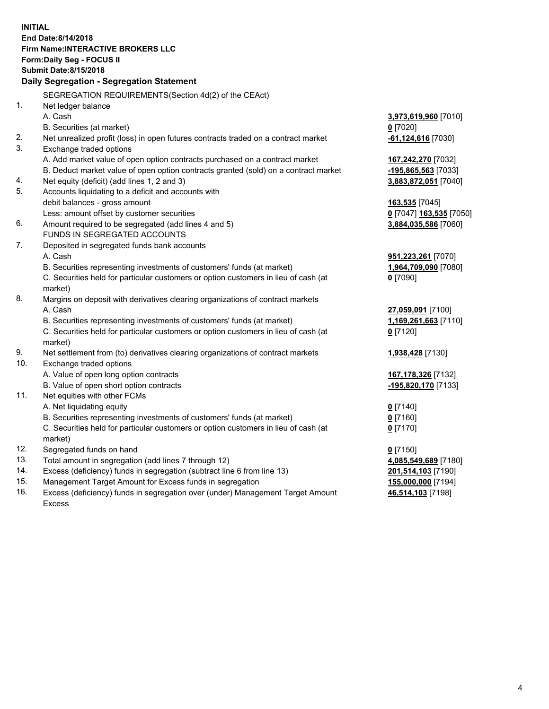**INITIAL End Date:8/14/2018 Firm Name:INTERACTIVE BROKERS LLC Form:Daily Seg - FOCUS II Submit Date:8/15/2018 Daily Segregation - Segregation Statement** SEGREGATION REQUIREMENTS(Section 4d(2) of the CEAct) 1. Net ledger balance A. Cash **3,973,619,960** [7010] B. Securities (at market) **0** [7020] 2. Net unrealized profit (loss) in open futures contracts traded on a contract market **-61,124,616** [7030] 3. Exchange traded options A. Add market value of open option contracts purchased on a contract market **167,242,270** [7032] B. Deduct market value of open option contracts granted (sold) on a contract market **-195,865,563** [7033] 4. Net equity (deficit) (add lines 1, 2 and 3) **3,883,872,051** [7040] 5. Accounts liquidating to a deficit and accounts with debit balances - gross amount **163,535** [7045] Less: amount offset by customer securities **0** [7047] **163,535** [7050] 6. Amount required to be segregated (add lines 4 and 5) **3,884,035,586** [7060] FUNDS IN SEGREGATED ACCOUNTS 7. Deposited in segregated funds bank accounts A. Cash **951,223,261** [7070] B. Securities representing investments of customers' funds (at market) **1,964,709,090** [7080] C. Securities held for particular customers or option customers in lieu of cash (at market) **0** [7090] 8. Margins on deposit with derivatives clearing organizations of contract markets A. Cash **27,059,091** [7100] B. Securities representing investments of customers' funds (at market) **1,169,261,663** [7110] C. Securities held for particular customers or option customers in lieu of cash (at market) **0** [7120] 9. Net settlement from (to) derivatives clearing organizations of contract markets **1,938,428** [7130] 10. Exchange traded options A. Value of open long option contracts **167,178,326** [7132] B. Value of open short option contracts **-195,820,170** [7133] 11. Net equities with other FCMs A. Net liquidating equity **0** [7140] B. Securities representing investments of customers' funds (at market) **0** [7160] C. Securities held for particular customers or option customers in lieu of cash (at market) **0** [7170] 12. Segregated funds on hand **0** [7150] 13. Total amount in segregation (add lines 7 through 12) **4,085,549,689** [7180] 14. Excess (deficiency) funds in segregation (subtract line 6 from line 13) **201,514,103** [7190] 15. Management Target Amount for Excess funds in segregation **155,000,000** [7194] **46,514,103** [7198]

16. Excess (deficiency) funds in segregation over (under) Management Target Amount Excess